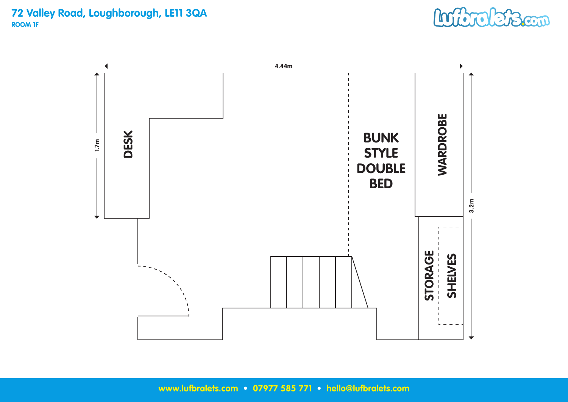**72 Valley Road, Loughborough, LE11 3QA ROOM 1F**



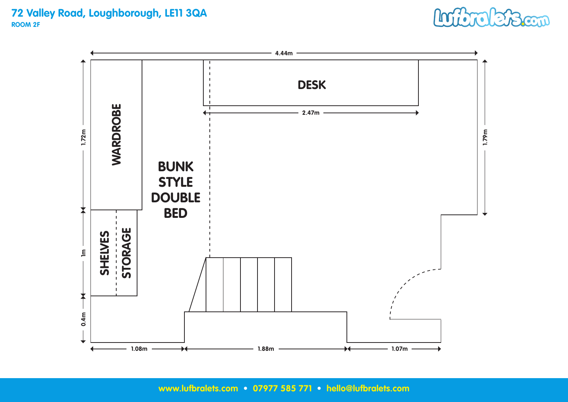#### **72 Valley Road, Loughborough, LE11 3QA ROOM 2F**



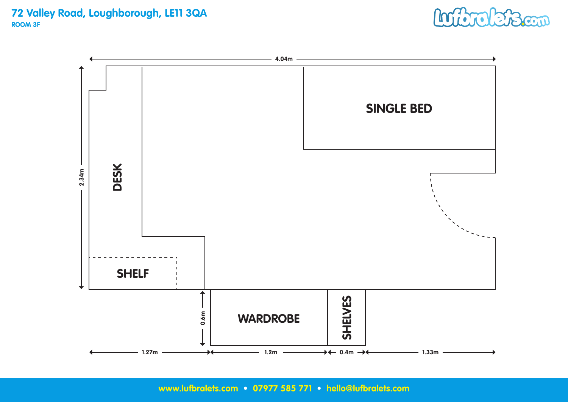#### **72 Valley Road, Loughborough, LE11 3QA ROOM 3F**



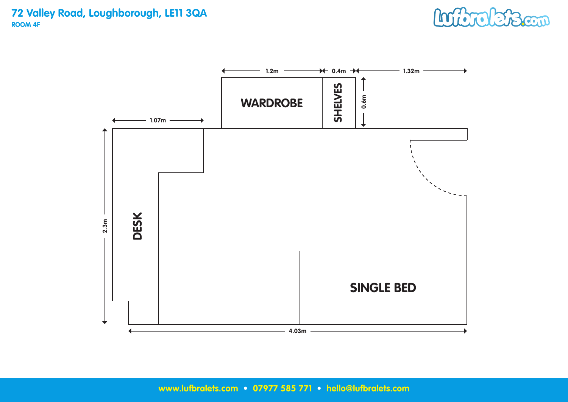**72 Valley Road, Loughborough, LE11 3QA ROOM 4F**



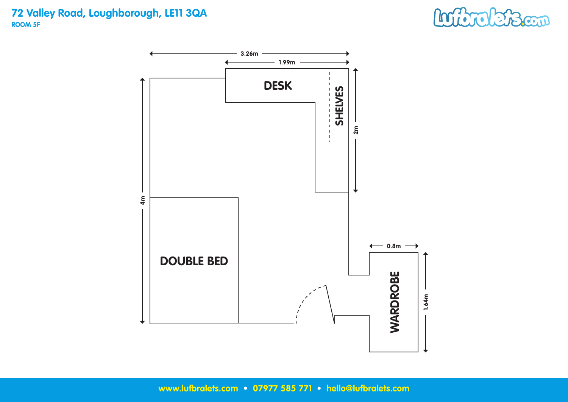**72 Valley Road, Loughborough, LE11 3QA ROOM 5F**



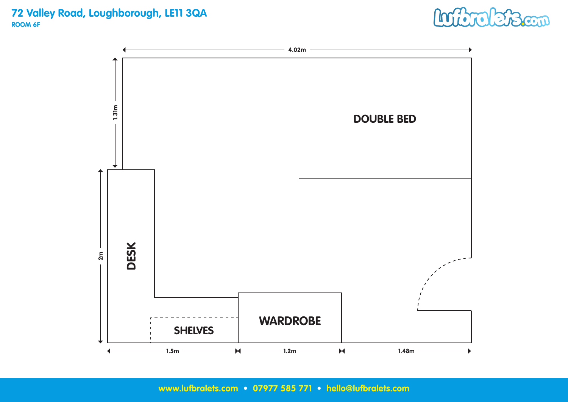#### **72 Valley Road, Loughborough, LE11 3QA ROOM 6F**



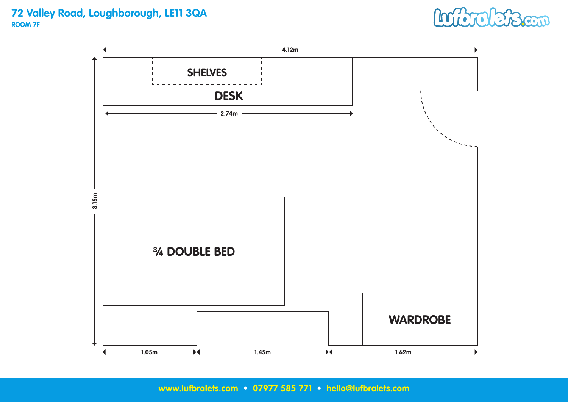**72 Valley Road, Loughborough, LE11 3QA ROOM 7F** 

## Logic **L'Been**

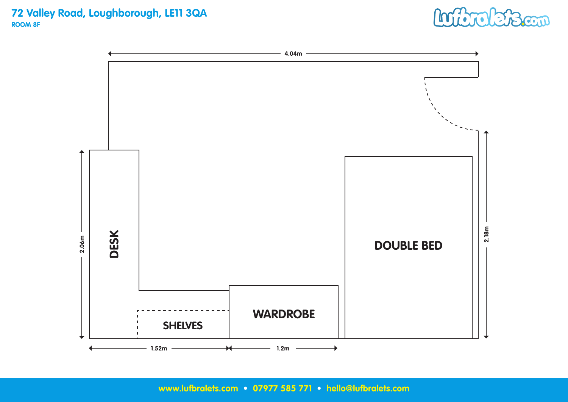**72 Valley Road, Loughborough, LE11 3QA ROOM 8F**



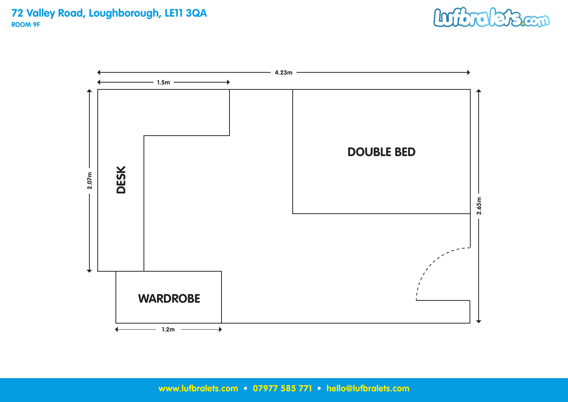

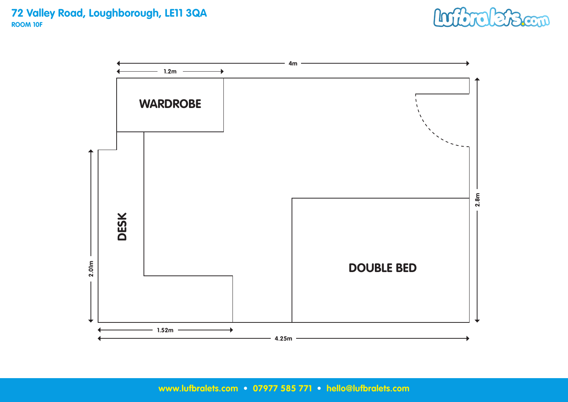**72 Valley Road, Loughborough, LE11 3QA ROOM 10F**



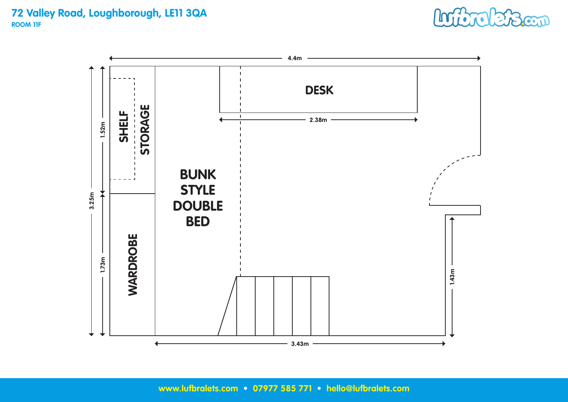## **72 Valley Road, Loughborough, LE11 3QA ROOM 11F**



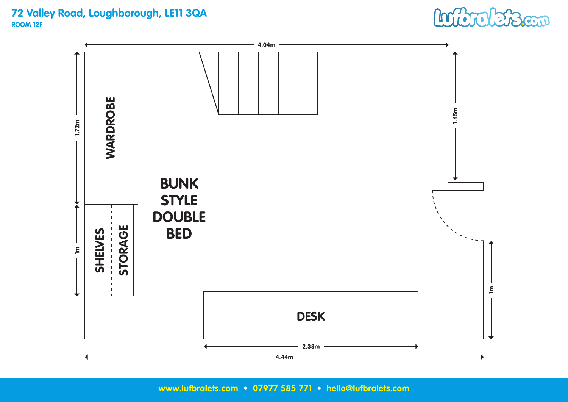#### **72 Valley Road, Loughborough, LE11 3QA ROOM 12F**



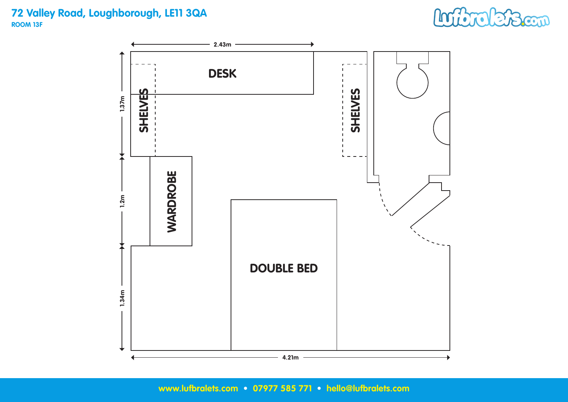## **72 Valley Road, Loughborough, LE11 3QA ROOM 13F**

# Inforterscon

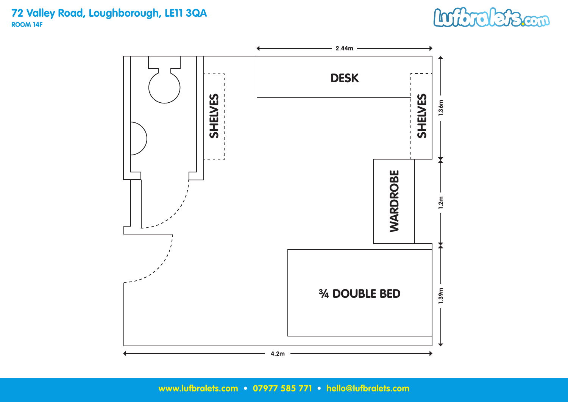## **72 Valley Road, Loughborough, LE11 3QA ROOM 14F**



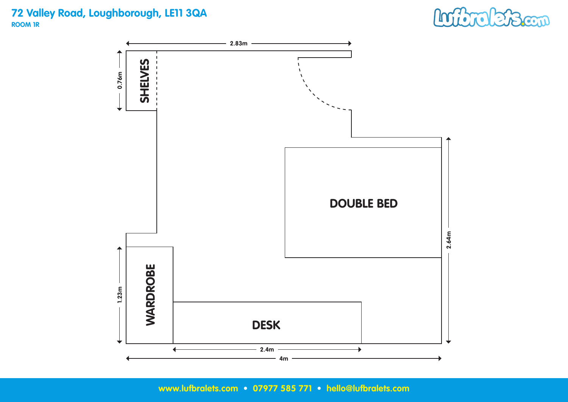## **72 Valley Road, Loughborough, LE11 3QA ROOM 1R**



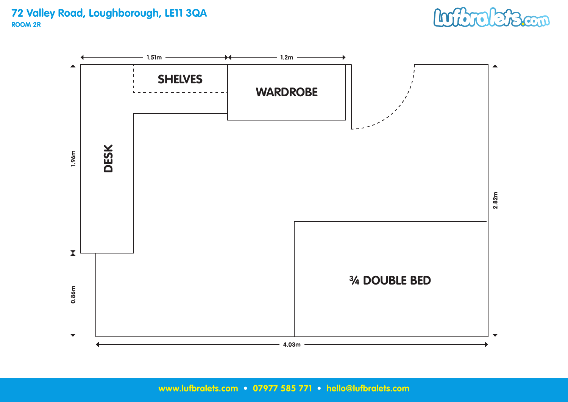#### **72 Valley Road, Loughborough, LE11 3QA ROOM 2R**



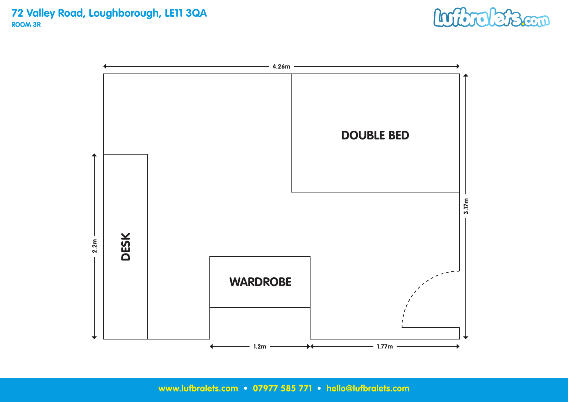**72 Valley Road, Loughborough, LE11 3QA ROOM 3R**



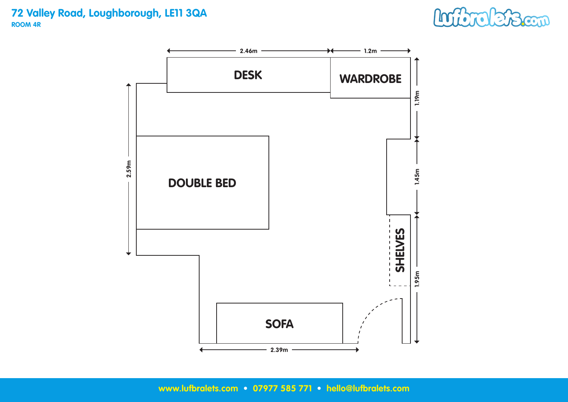

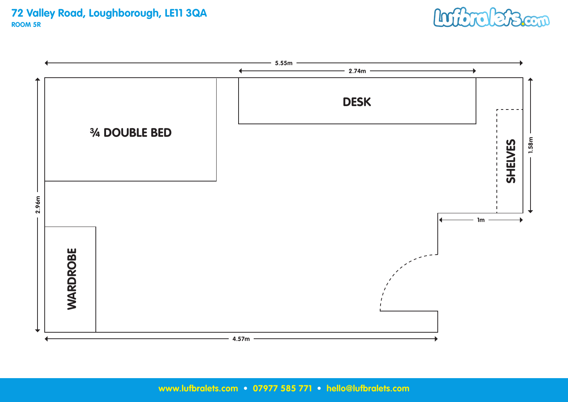**72 Valley Road, Loughborough, LE11 3QA ROOM 5R**



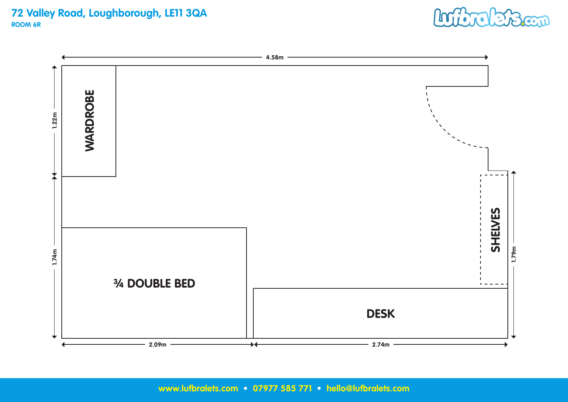#### **72 Valley Road, Loughborough, LE11 3QA ROOM 6R**



Information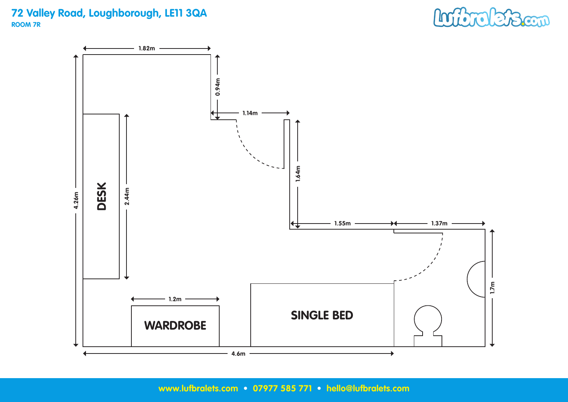## **72 Valley Road, Loughborough, LE11 3QA ROOM 7R**



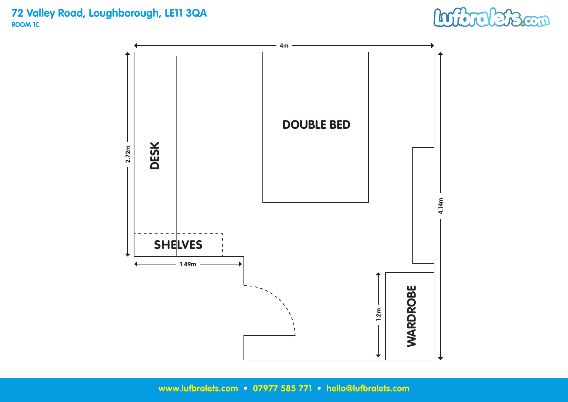## **72 Valley Road, Loughborough, LE11 3QA ROOM 1C**



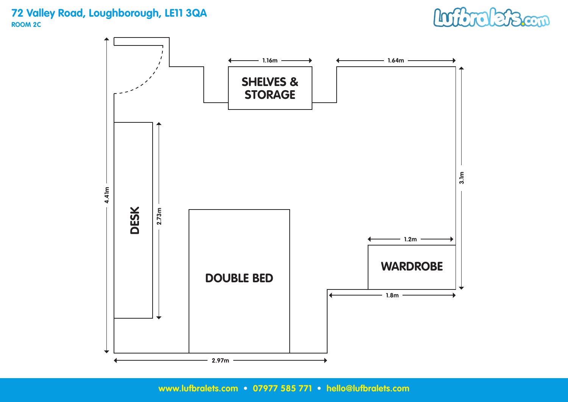## **72 Valley Road, Loughborough, LE11 3QA ROOM 2C**



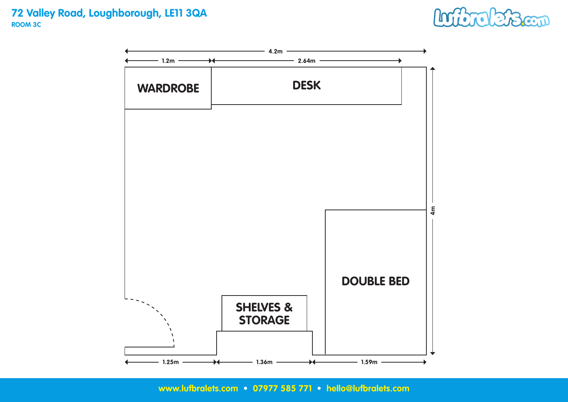#### **72 Valley Road, Loughborough, LE11 3QA ROOM 3C**



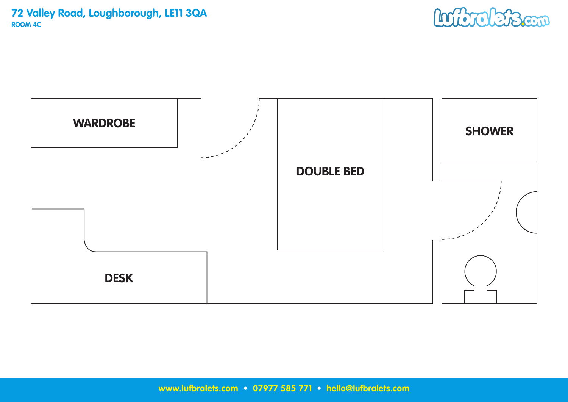